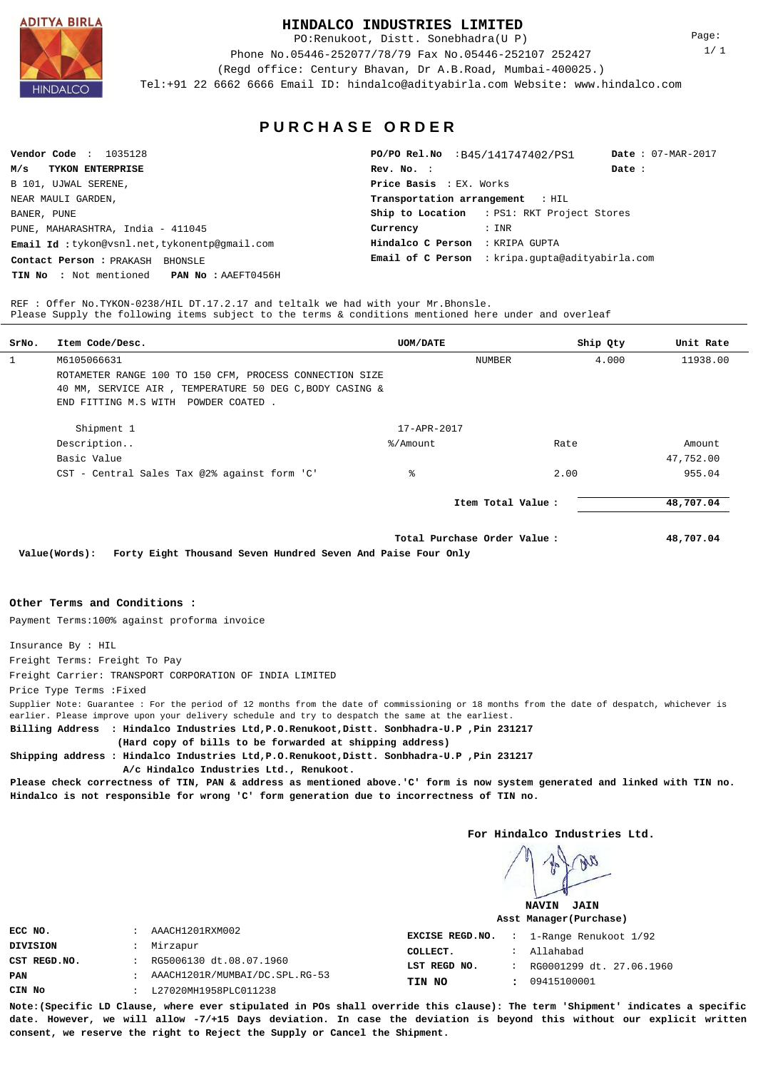**ADITYA BIRLA** 

### **HINDALCO INDUSTRIES LIMITED**

PO:Renukoot, Distt. Sonebhadra(U P)

Phone No.05446-252077/78/79 Fax No.05446-252107 252427 (Regd office: Century Bhavan, Dr A.B.Road, Mumbai-400025.)

Tel:+91 22 6662 6666 Email ID: hindalco@adityabirla.com Website: www.hindalco.com

Page: 1/ 1

**P U R C H A S E O R D E R**

| Vendor Code : $1035128$                                  | PO/PO Rel.No : B45/141747402/PS1                  | Date: $07-MAR-2017$ |  |
|----------------------------------------------------------|---------------------------------------------------|---------------------|--|
| M/s<br><b>TYKON ENTERPRISE</b>                           | Rev. No. :                                        | Date:               |  |
| B 101, UJWAL SERENE,                                     | <b>Price Basis : EX. Works</b>                    |                     |  |
| NEAR MAULI GARDEN,                                       | Transportation arrangement : HIL                  |                     |  |
| BANER, PUNE                                              | <b>Ship to Location</b> : PS1: RKT Project Stores |                     |  |
| PUNE, MAHARASHTRA, India - 411045                        | : INR<br>Currency                                 |                     |  |
| Email Id: tykon@vsnl.net, tykonentp@gmail.com            | Hindalco C Person : KRIPA GUPTA                   |                     |  |
| Contact Person : PRAKASH<br>BHONSLE                      | Email of C Person : kripa.gupta@adityabirla.com   |                     |  |
| <b>TIN No :</b> Not mentioned <b>PAN No :</b> AAEFT0456H |                                                   |                     |  |

REF : Offer No.TYKON-0238/HIL DT.17.2.17 and teltalk we had with your Mr.Bhonsle. Please Supply the following items subject to the terms & conditions mentioned here under and overleaf

| SrNo. | Item Code/Desc.                                                               | <b>UOM/DATE</b>   |                    | Ship Qty | Unit Rate |
|-------|-------------------------------------------------------------------------------|-------------------|--------------------|----------|-----------|
| 1     | M6105066631                                                                   |                   | <b>NUMBER</b>      | 4.000    | 11938.00  |
|       | ROTAMETER RANGE 100 TO 150 CFM, PROCESS CONNECTION SIZE                       |                   |                    |          |           |
|       | 40 MM, SERVICE AIR, TEMPERATURE 50 DEG C, BODY CASING &                       |                   |                    |          |           |
|       | END FITTING M.S WITH POWDER COATED.                                           |                   |                    |          |           |
|       | Shipment 1                                                                    | $17 - APR - 2017$ |                    |          |           |
|       | Description                                                                   | %/Amount          | Rate               |          | Amount    |
|       | Basic Value                                                                   |                   |                    |          | 47,752.00 |
|       | CST - Central Sales Tax @2% against form 'C'                                  | ి                 | 2.00               |          | 955.04    |
|       |                                                                               |                   | Item Total Value : |          | 48,707.04 |
|       | Forty Fight Thousand Coven Hundred Coven and Daise Four Only<br>$\frac{1}{2}$ |                   | 48,707.04          |          |           |

**Value(Words): Forty Eight Thousand Seven Hundred Seven And Paise Four Only**

#### **Other Terms and Conditions :**

Payment Terms:100% against proforma invoice

Insurance By : HIL

Freight Terms: Freight To Pay

Freight Carrier: TRANSPORT CORPORATION OF INDIA LIMITED

Price Type Terms :Fixed

Supplier Note: Guarantee : For the period of 12 months from the date of commissioning or 18 months from the date of despatch, whichever is earlier. Please improve upon your delivery schedule and try to despatch the same at the earliest.

**Billing Address : Hindalco Industries Ltd,P.O.Renukoot,Distt. Sonbhadra-U.P ,Pin 231217**

 **(Hard copy of bills to be forwarded at shipping address)**

**Shipping address : Hindalco Industries Ltd,P.O.Renukoot,Distt. Sonbhadra-U.P ,Pin 231217 A/c Hindalco Industries Ltd., Renukoot.**

**Please check correctness of TIN, PAN & address as mentioned above.'C' form is now system generated and linked with TIN no. Hindalco is not responsible for wrong 'C' form generation due to incorrectness of TIN no.**

**For Hindalco Industries Ltd.**

**NAVIN JAIN Asst Manager(Purchase)**

| ECC NO.      | $\ddot{\phantom{0}}$ | AAACH1201RXM002                |              | <b>EXCISE REGD.NO.</b> : 1-Range Renukoot $1/92$ |
|--------------|----------------------|--------------------------------|--------------|--------------------------------------------------|
| DIVISION     | $\cdot$ :            | Mirzapur                       | COLLECT.     | Allahabad                                        |
| CST REGD.NO. | $\ddot{\cdot}$       | RG5006130 dt.08.07.1960        | LST REGD NO. | RG0001299 dt. 27.06.1960                         |
| PAN          |                      | AAACH1201R/MUMBAI/DC.SPL.RG-53 | TIN NO       | 09415100001                                      |
| CIN No       |                      | L27020MH1958PLC011238          |              |                                                  |

**Note:(Specific LD Clause, where ever stipulated in POs shall override this clause): The term 'Shipment' indicates a specific date. However, we will allow -7/+15 Days deviation. In case the deviation is beyond this without our explicit written consent, we reserve the right to Reject the Supply or Cancel the Shipment.**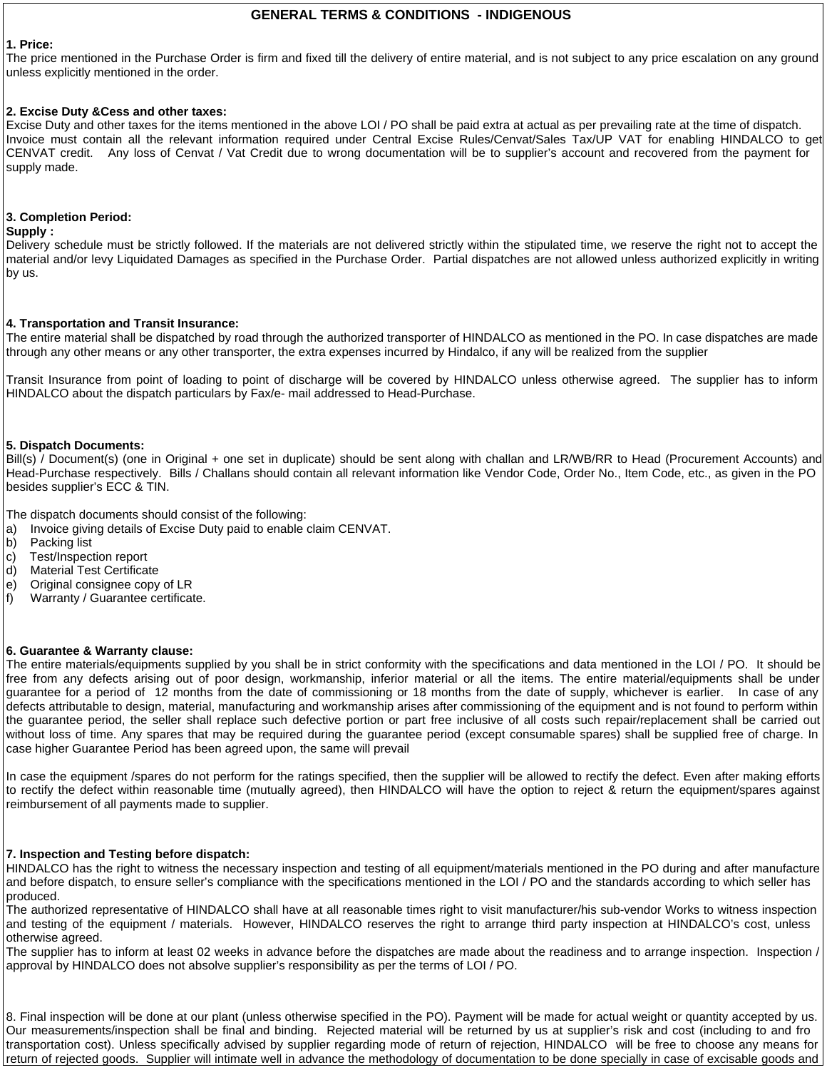# **GENERAL TERMS & CONDITIONS - INDIGENOUS**

# **1. Price:**

The price mentioned in the Purchase Order is firm and fixed till the delivery of entire material, and is not subject to any price escalation on any ground unless explicitly mentioned in the order.

# **2. Excise Duty &Cess and other taxes:**

Excise Duty and other taxes for the items mentioned in the above LOI / PO shall be paid extra at actual as per prevailing rate at the time of dispatch. Invoice must contain all the relevant information required under Central Excise Rules/Cenvat/Sales Tax/UP VAT for enabling HINDALCO to get CENVAT credit. Any loss of Cenvat / Vat Credit due to wrong documentation will be to supplier's account and recovered from the payment for supply made.

# **3. Completion Period:**

#### **Supply :**

Delivery schedule must be strictly followed. If the materials are not delivered strictly within the stipulated time, we reserve the right not to accept the material and/or levy Liquidated Damages as specified in the Purchase Order. Partial dispatches are not allowed unless authorized explicitly in writing by us.

# **4. Transportation and Transit Insurance:**

The entire material shall be dispatched by road through the authorized transporter of HINDALCO as mentioned in the PO. In case dispatches are made through any other means or any other transporter, the extra expenses incurred by Hindalco, if any will be realized from the supplier

Transit Insurance from point of loading to point of discharge will be covered by HINDALCO unless otherwise agreed. The supplier has to inform HINDALCO about the dispatch particulars by Fax/e- mail addressed to Head-Purchase.

# **5. Dispatch Documents:**

Bill(s) / Document(s) (one in Original + one set in duplicate) should be sent along with challan and LR/WB/RR to Head (Procurement Accounts) and Head-Purchase respectively. Bills / Challans should contain all relevant information like Vendor Code, Order No., Item Code, etc., as given in the PO besides supplier's ECC & TIN.

The dispatch documents should consist of the following:

- a) Invoice giving details of Excise Duty paid to enable claim CENVAT.
- b) Packing list
- c) Test/Inspection report
- d) Material Test Certificate
- e) Original consignee copy of LR
- f) Warranty / Guarantee certificate.

# **6. Guarantee & Warranty clause:**

The entire materials/equipments supplied by you shall be in strict conformity with the specifications and data mentioned in the LOI / PO. It should be free from any defects arising out of poor design, workmanship, inferior material or all the items. The entire material/equipments shall be under guarantee for a period of 12 months from the date of commissioning or 18 months from the date of supply, whichever is earlier. In case of any defects attributable to design, material, manufacturing and workmanship arises after commissioning of the equipment and is not found to perform within the guarantee period, the seller shall replace such defective portion or part free inclusive of all costs such repair/replacement shall be carried out without loss of time. Any spares that may be required during the guarantee period (except consumable spares) shall be supplied free of charge. In case higher Guarantee Period has been agreed upon, the same will prevail

In case the equipment /spares do not perform for the ratings specified, then the supplier will be allowed to rectify the defect. Even after making efforts to rectify the defect within reasonable time (mutually agreed), then HINDALCO will have the option to reject & return the equipment/spares against reimbursement of all payments made to supplier.

# **7. Inspection and Testing before dispatch:**

HINDALCO has the right to witness the necessary inspection and testing of all equipment/materials mentioned in the PO during and after manufacture and before dispatch, to ensure seller's compliance with the specifications mentioned in the LOI / PO and the standards according to which seller has produced.

The authorized representative of HINDALCO shall have at all reasonable times right to visit manufacturer/his sub-vendor Works to witness inspection and testing of the equipment / materials. However, HINDALCO reserves the right to arrange third party inspection at HINDALCO's cost, unless otherwise agreed.

The supplier has to inform at least 02 weeks in advance before the dispatches are made about the readiness and to arrange inspection. Inspection / approval by HINDALCO does not absolve supplier's responsibility as per the terms of LOI / PO.

8. Final inspection will be done at our plant (unless otherwise specified in the PO). Payment will be made for actual weight or quantity accepted by us. Our measurements/inspection shall be final and binding. Rejected material will be returned by us at supplier's risk and cost (including to and fro transportation cost). Unless specifically advised by supplier regarding mode of return of rejection, HINDALCO will be free to choose any means for return of rejected goods. Supplier will intimate well in advance the methodology of documentation to be done specially in case of excisable goods and